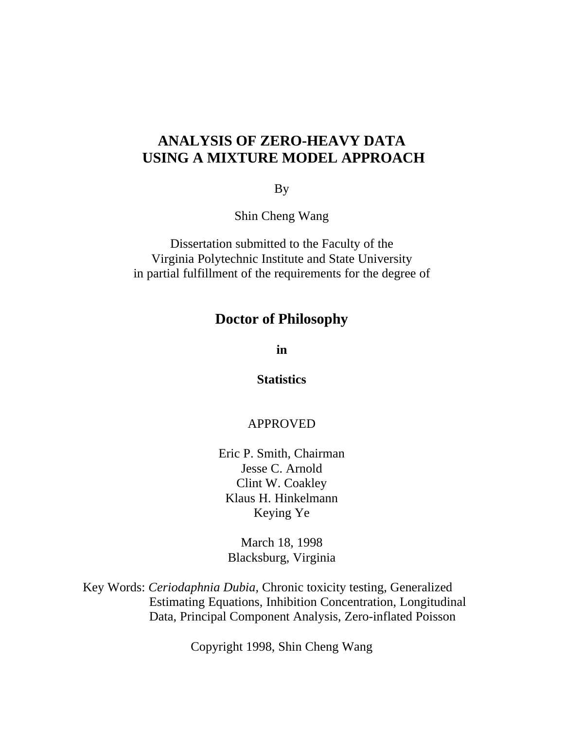## **ANALYSIS OF ZERO-HEAVY DATA USING A MIXTURE MODEL APPROACH**

By

Shin Cheng Wang

Dissertation submitted to the Faculty of the Virginia Polytechnic Institute and State University in partial fulfillment of the requirements for the degree of

### **Doctor of Philosophy**

**in**

**Statistics**

### APPROVED

Eric P. Smith, Chairman Jesse C. Arnold Clint W. Coakley Klaus H. Hinkelmann Keying Ye

March 18, 1998 Blacksburg, Virginia

Key Words: *Ceriodaphnia Dubia,* Chronic toxicity testing, Generalized Estimating Equations, Inhibition Concentration, Longitudinal Data, Principal Component Analysis, Zero-inflated Poisson

Copyright 1998, Shin Cheng Wang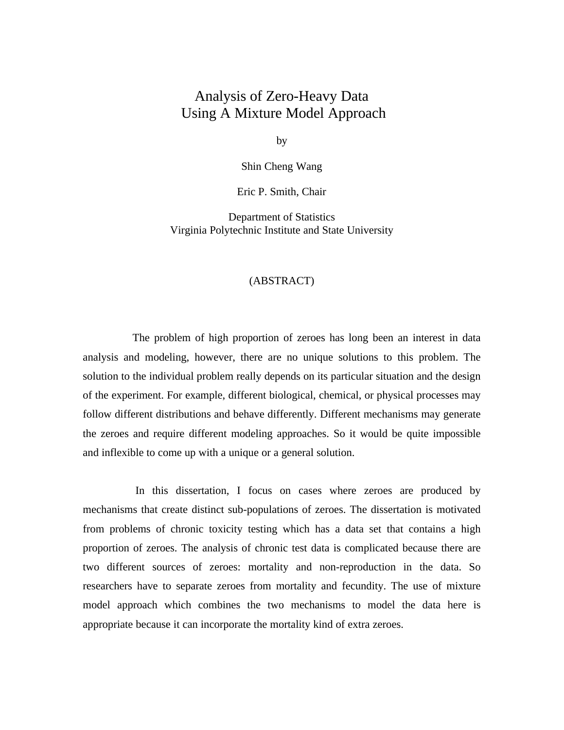## Analysis of Zero-Heavy Data Using A Mixture Model Approach

by

Shin Cheng Wang

Eric P. Smith, Chair

Department of Statistics Virginia Polytechnic Institute and State University

#### (ABSTRACT)

The problem of high proportion of zeroes has long been an interest in data analysis and modeling, however, there are no unique solutions to this problem. The solution to the individual problem really depends on its particular situation and the design of the experiment. For example, different biological, chemical, or physical processes may follow different distributions and behave differently. Different mechanisms may generate the zeroes and require different modeling approaches. So it would be quite impossible and inflexible to come up with a unique or a general solution.

 In this dissertation, I focus on cases where zeroes are produced by mechanisms that create distinct sub-populations of zeroes. The dissertation is motivated from problems of chronic toxicity testing which has a data set that contains a high proportion of zeroes. The analysis of chronic test data is complicated because there are two different sources of zeroes: mortality and non-reproduction in the data. So researchers have to separate zeroes from mortality and fecundity. The use of mixture model approach which combines the two mechanisms to model the data here is appropriate because it can incorporate the mortality kind of extra zeroes.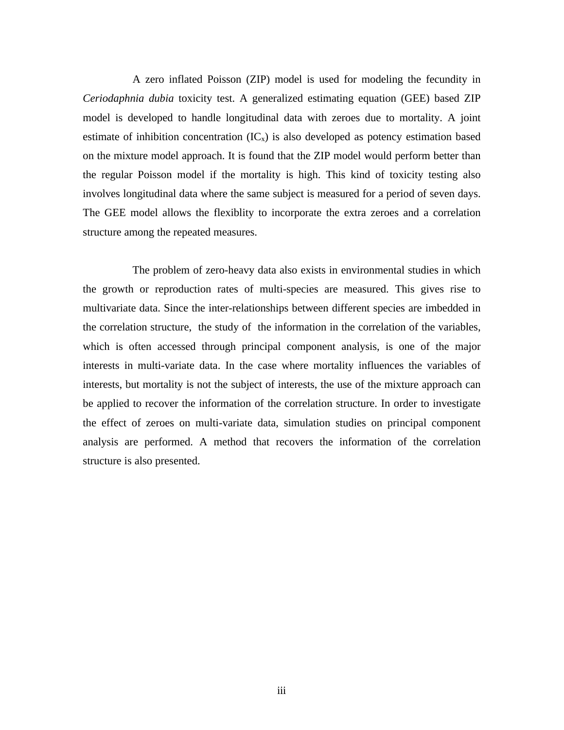A zero inflated Poisson (ZIP) model is used for modeling the fecundity in *Ceriodaphnia dubia* toxicity test. A generalized estimating equation (GEE) based ZIP model is developed to handle longitudinal data with zeroes due to mortality. A joint estimate of inhibition concentration  $(IC_x)$  is also developed as potency estimation based on the mixture model approach. It is found that the ZIP model would perform better than the regular Poisson model if the mortality is high. This kind of toxicity testing also involves longitudinal data where the same subject is measured for a period of seven days. The GEE model allows the flexiblity to incorporate the extra zeroes and a correlation structure among the repeated measures.

The problem of zero-heavy data also exists in environmental studies in which the growth or reproduction rates of multi-species are measured. This gives rise to multivariate data. Since the inter-relationships between different species are imbedded in the correlation structure, the study of the information in the correlation of the variables, which is often accessed through principal component analysis, is one of the major interests in multi-variate data. In the case where mortality influences the variables of interests, but mortality is not the subject of interests, the use of the mixture approach can be applied to recover the information of the correlation structure. In order to investigate the effect of zeroes on multi-variate data, simulation studies on principal component analysis are performed. A method that recovers the information of the correlation structure is also presented.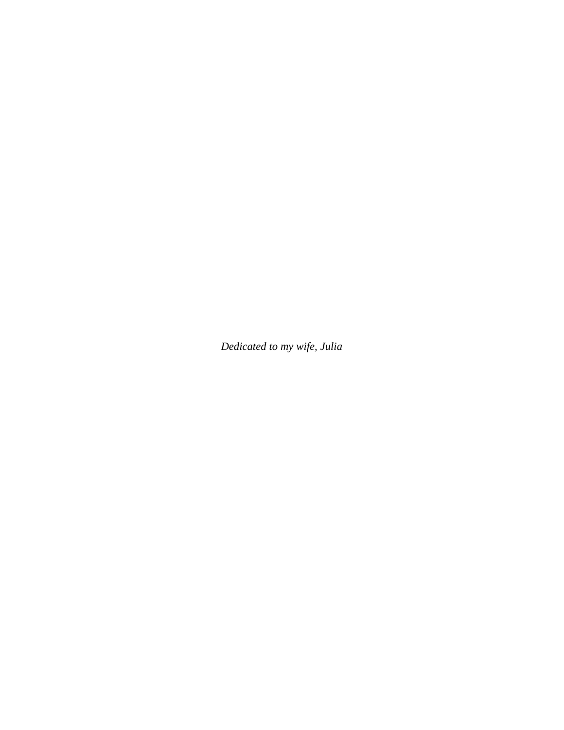*Dedicated to my wife, Julia*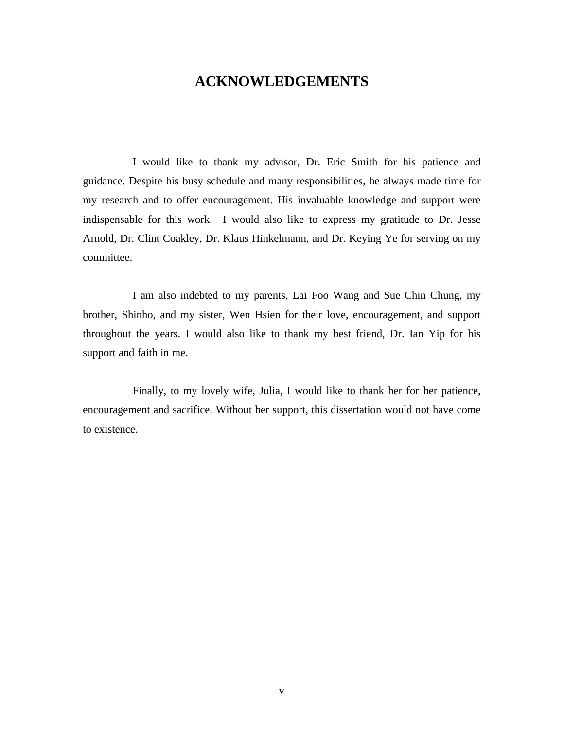### **ACKNOWLEDGEMENTS**

I would like to thank my advisor, Dr. Eric Smith for his patience and guidance. Despite his busy schedule and many responsibilities, he always made time for my research and to offer encouragement. His invaluable knowledge and support were indispensable for this work. I would also like to express my gratitude to Dr. Jesse Arnold, Dr. Clint Coakley, Dr. Klaus Hinkelmann, and Dr. Keying Ye for serving on my committee.

I am also indebted to my parents, Lai Foo Wang and Sue Chin Chung, my brother, Shinho, and my sister, Wen Hsien for their love, encouragement, and support throughout the years. I would also like to thank my best friend, Dr. Ian Yip for his support and faith in me.

Finally, to my lovely wife, Julia, I would like to thank her for her patience, encouragement and sacrifice. Without her support, this dissertation would not have come to existence.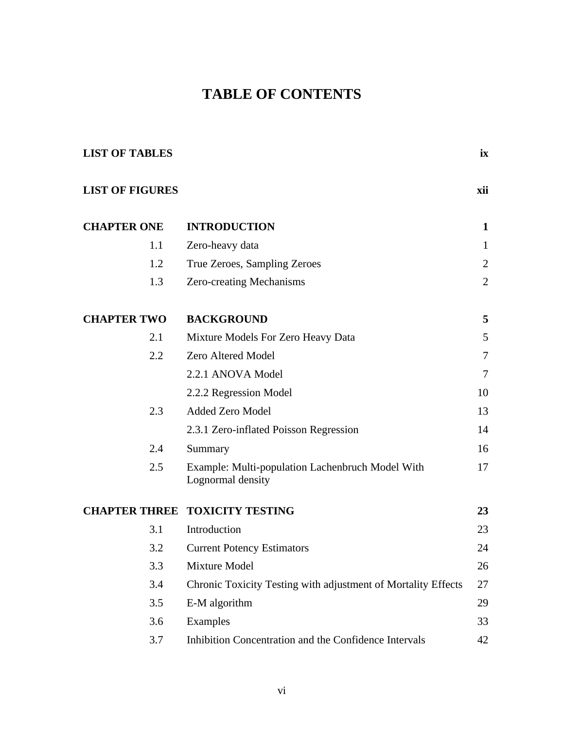# **TABLE OF CONTENTS**

| <b>LIST OF TABLES</b>  |                                                                       | ix             |
|------------------------|-----------------------------------------------------------------------|----------------|
| <b>LIST OF FIGURES</b> |                                                                       | xii            |
| <b>CHAPTER ONE</b>     | <b>INTRODUCTION</b>                                                   | $\mathbf{1}$   |
| 1.1                    | Zero-heavy data                                                       | 1              |
| 1.2                    | True Zeroes, Sampling Zeroes                                          | $\overline{2}$ |
| 1.3                    | Zero-creating Mechanisms                                              | $\overline{2}$ |
| <b>CHAPTER TWO</b>     | <b>BACKGROUND</b>                                                     | 5              |
| 2.1                    | Mixture Models For Zero Heavy Data                                    | 5              |
| 2.2                    | Zero Altered Model                                                    | 7              |
|                        | 2.2.1 ANOVA Model                                                     | 7              |
|                        | 2.2.2 Regression Model                                                | 10             |
| 2.3                    | Added Zero Model                                                      | 13             |
|                        | 2.3.1 Zero-inflated Poisson Regression                                | 14             |
| 2.4                    | Summary                                                               | 16             |
| 2.5                    | Example: Multi-population Lachenbruch Model With<br>Lognormal density | 17             |
|                        | <b>CHAPTER THREE TOXICITY TESTING</b>                                 | 23             |
| 3.1                    | Introduction                                                          | 23             |
| 3.2                    | <b>Current Potency Estimators</b>                                     | 24             |
| 3.3                    | Mixture Model                                                         | 26             |
| 3.4                    | Chronic Toxicity Testing with adjustment of Mortality Effects         | 27             |
| 3.5                    | E-M algorithm                                                         | 29             |
| 3.6                    | Examples                                                              | 33             |
| 3.7                    | Inhibition Concentration and the Confidence Intervals                 | 42             |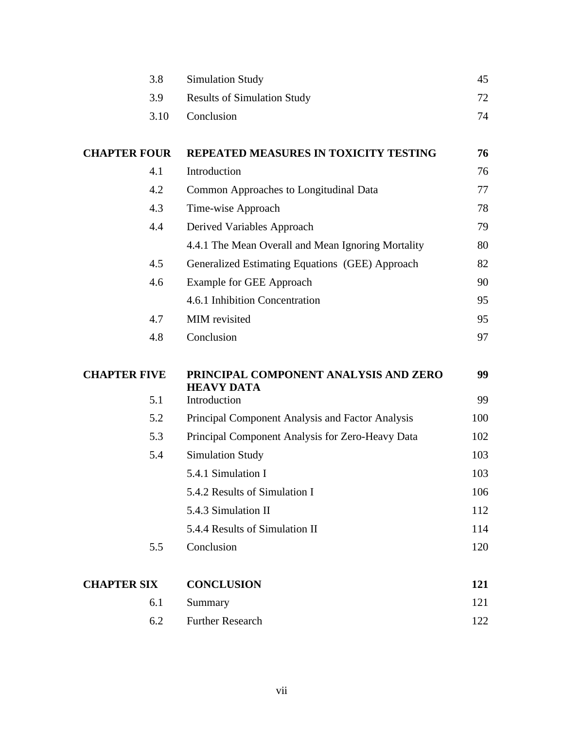|                     | 3.8  | <b>Simulation Study</b>                                    | 45  |
|---------------------|------|------------------------------------------------------------|-----|
|                     | 3.9  | <b>Results of Simulation Study</b>                         | 72  |
|                     | 3.10 | Conclusion                                                 | 74  |
| <b>CHAPTER FOUR</b> |      | REPEATED MEASURES IN TOXICITY TESTING                      | 76  |
|                     | 4.1  | Introduction                                               | 76  |
|                     | 4.2  | Common Approaches to Longitudinal Data                     | 77  |
|                     | 4.3  | Time-wise Approach                                         | 78  |
|                     | 4.4  | Derived Variables Approach                                 | 79  |
|                     |      | 4.4.1 The Mean Overall and Mean Ignoring Mortality         | 80  |
|                     | 4.5  | Generalized Estimating Equations (GEE) Approach            | 82  |
|                     | 4.6  | <b>Example for GEE Approach</b>                            | 90  |
|                     |      | 4.6.1 Inhibition Concentration                             | 95  |
|                     | 4.7  | MIM revisited                                              | 95  |
|                     | 4.8  | Conclusion                                                 | 97  |
| <b>CHAPTER FIVE</b> |      | PRINCIPAL COMPONENT ANALYSIS AND ZERO<br><b>HEAVY DATA</b> | 99  |
|                     | 5.1  | Introduction                                               | 99  |
|                     | 5.2  | Principal Component Analysis and Factor Analysis           | 100 |
|                     | 5.3  | Principal Component Analysis for Zero-Heavy Data           | 102 |
|                     | 5.4  | <b>Simulation Study</b>                                    | 103 |
|                     |      | 5.4.1 Simulation I                                         | 103 |
|                     |      | 5.4.2 Results of Simulation I                              | 106 |
|                     |      | 5.4.3 Simulation II                                        | 112 |
|                     |      | 5.4.4 Results of Simulation II                             | 114 |
|                     | 5.5  | Conclusion                                                 | 120 |
| <b>CHAPTER SIX</b>  |      | <b>CONCLUSION</b>                                          | 121 |
|                     | 6.1  | Summary                                                    | 121 |
|                     | 6.2  | <b>Further Research</b>                                    | 122 |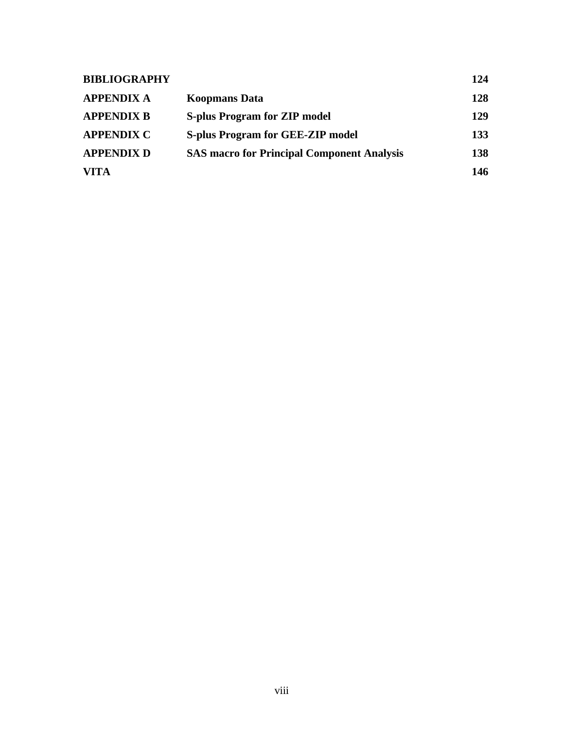| <b>BIBLIOGRAPHY</b> |                                                   | 124 |
|---------------------|---------------------------------------------------|-----|
| <b>APPENDIX A</b>   | <b>Koopmans Data</b>                              | 128 |
| <b>APPENDIX B</b>   | <b>S-plus Program for ZIP model</b>               | 129 |
| <b>APPENDIX C</b>   | <b>S-plus Program for GEE-ZIP model</b>           | 133 |
| <b>APPENDIX D</b>   | <b>SAS macro for Principal Component Analysis</b> | 138 |
| <b>VITA</b>         |                                                   | 146 |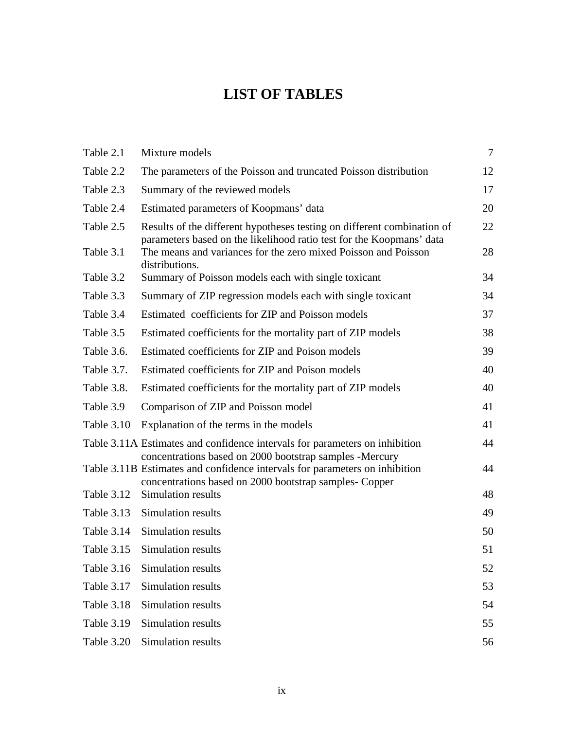# **LIST OF TABLES**

| Table 2.1         | Mixture models                                                                                                                                  | $\overline{7}$ |
|-------------------|-------------------------------------------------------------------------------------------------------------------------------------------------|----------------|
| Table 2.2         | The parameters of the Poisson and truncated Poisson distribution                                                                                | 12             |
| Table 2.3         | Summary of the reviewed models                                                                                                                  | 17             |
| Table 2.4         | Estimated parameters of Koopmans' data                                                                                                          | 20             |
| Table 2.5         | Results of the different hypotheses testing on different combination of<br>parameters based on the likelihood ratio test for the Koopmans' data | 22             |
| Table 3.1         | The means and variances for the zero mixed Poisson and Poisson<br>distributions.                                                                | 28             |
| Table 3.2         | Summary of Poisson models each with single toxicant                                                                                             | 34             |
| Table 3.3         | Summary of ZIP regression models each with single toxicant                                                                                      | 34             |
| Table 3.4         | Estimated coefficients for ZIP and Poisson models                                                                                               | 37             |
| Table 3.5         | Estimated coefficients for the mortality part of ZIP models                                                                                     | 38             |
| Table 3.6.        | Estimated coefficients for ZIP and Poison models                                                                                                | 39             |
| Table 3.7.        | Estimated coefficients for ZIP and Poison models                                                                                                | 40             |
| Table 3.8.        | Estimated coefficients for the mortality part of ZIP models                                                                                     | 40             |
| Table 3.9         | Comparison of ZIP and Poisson model                                                                                                             | 41             |
| Table 3.10        | Explanation of the terms in the models                                                                                                          | 41             |
|                   | Table 3.11A Estimates and confidence intervals for parameters on inhibition<br>concentrations based on 2000 bootstrap samples -Mercury          | 44             |
|                   | Table 3.11B Estimates and confidence intervals for parameters on inhibition<br>concentrations based on 2000 bootstrap samples- Copper           | 44             |
| Table 3.12        | Simulation results                                                                                                                              | 48             |
| <b>Table 3.13</b> | Simulation results                                                                                                                              | 49             |
| Table 3.14        | Simulation results                                                                                                                              | 50             |
| Table 3.15        | Simulation results                                                                                                                              | 51             |
| Table 3.16        | Simulation results                                                                                                                              | 52             |
| Table 3.17        | Simulation results                                                                                                                              | 53             |
| Table 3.18        | Simulation results                                                                                                                              | 54             |
| Table 3.19        | Simulation results                                                                                                                              | 55             |
| Table 3.20        | Simulation results                                                                                                                              | 56             |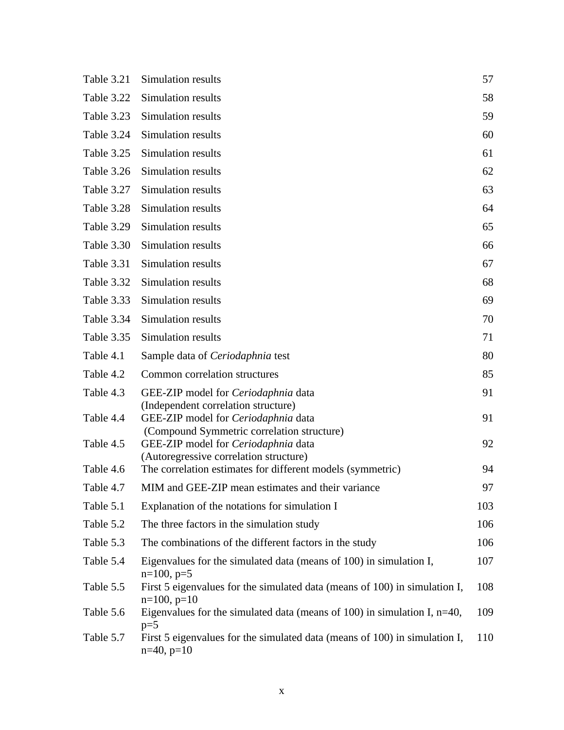| Table 3.21 | Simulation results                                                                                                          | 57  |
|------------|-----------------------------------------------------------------------------------------------------------------------------|-----|
| Table 3.22 | Simulation results                                                                                                          | 58  |
| Table 3.23 | Simulation results                                                                                                          | 59  |
| Table 3.24 | Simulation results                                                                                                          | 60  |
| Table 3.25 | Simulation results                                                                                                          | 61  |
| Table 3.26 | Simulation results                                                                                                          | 62  |
| Table 3.27 | Simulation results                                                                                                          | 63  |
| Table 3.28 | Simulation results                                                                                                          | 64  |
| Table 3.29 | Simulation results                                                                                                          | 65  |
| Table 3.30 | Simulation results                                                                                                          | 66  |
| Table 3.31 | Simulation results                                                                                                          | 67  |
| Table 3.32 | Simulation results                                                                                                          | 68  |
| Table 3.33 | Simulation results                                                                                                          | 69  |
| Table 3.34 | Simulation results                                                                                                          | 70  |
| Table 3.35 | Simulation results                                                                                                          | 71  |
| Table 4.1  | Sample data of <i>Ceriodaphnia</i> test                                                                                     | 80  |
| Table 4.2  | Common correlation structures                                                                                               | 85  |
| Table 4.3  | GEE-ZIP model for Ceriodaphnia data                                                                                         | 91  |
| Table 4.4  | (Independent correlation structure)<br>GEE-ZIP model for Ceriodaphnia data                                                  | 91  |
| Table 4.5  | (Compound Symmetric correlation structure)<br>GEE-ZIP model for Ceriodaphnia data<br>(Autoregressive correlation structure) | 92  |
| Table 4.6  | The correlation estimates for different models (symmetric)                                                                  | 94  |
| Table 4.7  | MIM and GEE-ZIP mean estimates and their variance                                                                           | 97  |
| Table 5.1  | Explanation of the notations for simulation I                                                                               | 103 |
| Table 5.2  | The three factors in the simulation study                                                                                   | 106 |
| Table 5.3  | The combinations of the different factors in the study                                                                      | 106 |
| Table 5.4  | Eigenvalues for the simulated data (means of 100) in simulation I,<br>$n=100, p=5$                                          | 107 |
| Table 5.5  | First 5 eigenvalues for the simulated data (means of 100) in simulation I,<br>$n=100$ , $p=10$                              | 108 |
| Table 5.6  | Eigenvalues for the simulated data (means of 100) in simulation I, $n=40$ ,<br>$p=5$                                        | 109 |
| Table 5.7  | First 5 eigenvalues for the simulated data (means of 100) in simulation I,<br>$n=40, p=10$                                  | 110 |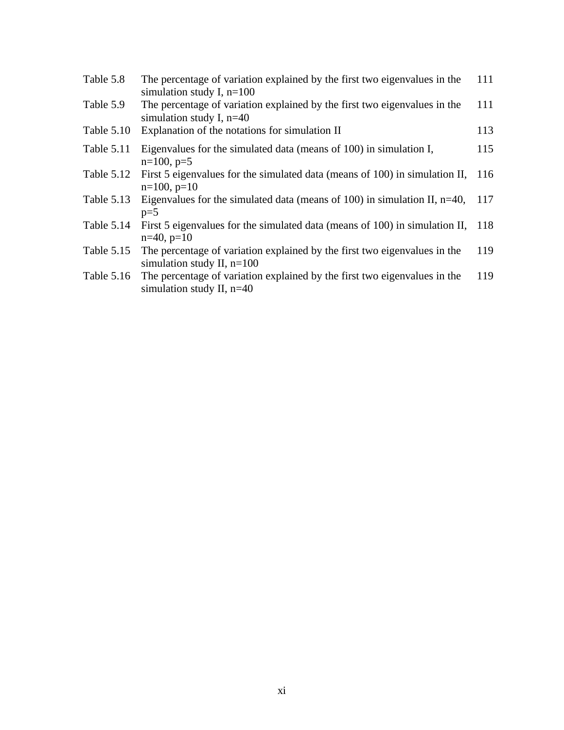| Table 5.8  | The percentage of variation explained by the first two eigenvalues in the<br>simulation study I, $n=100$  | 111 |
|------------|-----------------------------------------------------------------------------------------------------------|-----|
| Table 5.9  | The percentage of variation explained by the first two eigenvalues in the<br>simulation study I, $n=40$   | 111 |
| Table 5.10 | Explanation of the notations for simulation II                                                            | 113 |
| Table 5.11 | Eigenvalues for the simulated data (means of 100) in simulation I,<br>$n=100, p=5$                        | 115 |
| Table 5.12 | First 5 eigenvalues for the simulated data (means of 100) in simulation II, 116<br>$n=100, p=10$          |     |
| Table 5.13 | Eigenvalues for the simulated data (means of 100) in simulation II, $n=40$ , 117<br>$p=5$                 |     |
| Table 5.14 | First 5 eigenvalues for the simulated data (means of 100) in simulation II, 118<br>$n=40, p=10$           |     |
| Table 5.15 | The percentage of variation explained by the first two eigenvalues in the<br>simulation study II, $n=100$ | 119 |
| Table 5.16 | The percentage of variation explained by the first two eigenvalues in the<br>simulation study II, $n=40$  | 119 |